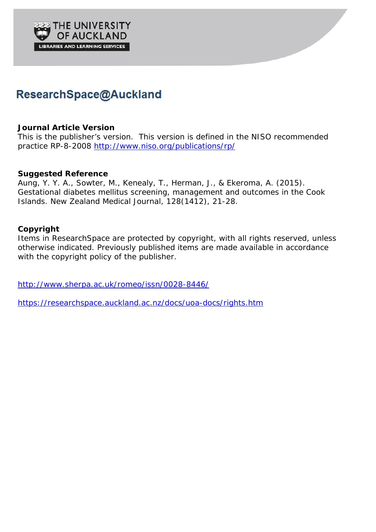

# ResearchSpace@Auckland

## **Journal Article Version**

This is the publisher's version. This version is defined in the NISO recommended practice RP-8-2008 <http://www.niso.org/publications/rp/>

## **Suggested Reference**

Aung, Y. Y. A., Sowter, M., Kenealy, T., Herman, J., & Ekeroma, A. (2015). Gestational diabetes mellitus screening, management and outcomes in the Cook Islands. *New Zealand Medical Journal, 128*(1412), 21-28.

## **Copyright**

Items in ResearchSpace are protected by copyright, with all rights reserved, unless otherwise indicated. Previously published items are made available in accordance with the copyright policy of the publisher.

<http://www.sherpa.ac.uk/romeo/issn/0028-8446/>

<https://researchspace.auckland.ac.nz/docs/uoa-docs/rights.htm>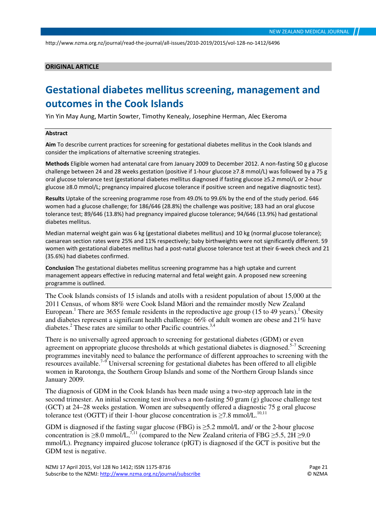#### ORIGINAL ARTICLE

## Gestational diabetes mellitus screening, management and outcomes in the Cook Islands

Yin Yin May Aung, Martin Sowter, Timothy Kenealy, Josephine Herman, Alec Ekeroma

#### Abstract

Aim To describe current practices for screening for gestational diabetes mellitus in the Cook Islands and consider the implications of alternative screening strategies.

Methods Eligible women had antenatal care from January 2009 to December 2012. A non-fasting 50 g glucose challenge between 24 and 28 weeks gestation (positive if 1-hour glucose ≥7.8 mmol/L) was followed by a 75 g oral glucose tolerance test (gestational diabetes mellitus diagnosed if fasting glucose ≥5.2 mmol/L or 2-hour glucose ≥8.0 mmol/L; pregnancy impaired glucose tolerance if positive screen and negative diagnostic test).

Results Uptake of the screening programme rose from 49.0% to 99.6% by the end of the study period. 646 women had a glucose challenge; for 186/646 (28.8%) the challenge was positive; 183 had an oral glucose tolerance test; 89/646 (13.8%) had pregnancy impaired glucose tolerance; 94/646 (13.9%) had gestational diabetes mellitus.

Median maternal weight gain was 6 kg (gestational diabetes mellitus) and 10 kg (normal glucose tolerance); caesarean section rates were 25% and 11% respectively; baby birthweights were not significantly different. 59 women with gestational diabetes mellitus had a post-natal glucose tolerance test at their 6-week check and 21 (35.6%) had diabetes confirmed.

Conclusion The gestational diabetes mellitus screening programme has a high uptake and current management appears effective in reducing maternal and fetal weight gain. A proposed new screening programme is outlined.

The Cook Islands consists of 15 islands and atolls with a resident population of about 15,000 at the 2011 Census, of whom 88% were Cook Island Māori and the remainder mostly New Zealand European.<sup>1</sup> There are 3655 female residents in the reproductive age group (15 to 49 years).<sup>1</sup> Obesity and diabetes represent a significant health challenge: 66% of adult women are obese and 21% have diabetes.<sup>2</sup> These rates are similar to other Pacific countries.<sup>3,4</sup>

There is no universally agreed approach to screening for gestational diabetes (GDM) or even agreement on appropriate glucose thresholds at which gestational diabetes is diagnosed.<sup>5-7</sup> Screening programmes inevitably need to balance the performance of different approaches to screening with the resources available.<sup>7–9</sup> Universal screening for gestational diabetes has been offered to all eligible women in Rarotonga, the Southern Group Islands and some of the Northern Group Islands since January 2009.

The diagnosis of GDM in the Cook Islands has been made using a two-step approach late in the second trimester. An initial screening test involves a non-fasting 50 gram (g) glucose challenge test (GCT) at 24–28 weeks gestation. Women are subsequently offered a diagnostic 75 g oral glucose tolerance test (OGTT) if their 1-hour glucose concentration is  $\geq$ 7.8 mmol/L.<sup>10,11</sup>

GDM is diagnosed if the fasting sugar glucose (FBG) is ≥5.2 mmol/L and/ or the 2-hour glucose concentration is  $\geq 8.0$  mmol/L,<sup>7,11</sup> (compared to the New Zealand criteria of FBG  $\geq 5.5$ , 2H  $\geq 9.0$ mmol/L). Pregnancy impaired glucose tolerance (pIGT) is diagnosed if the GCT is positive but the GDM test is negative.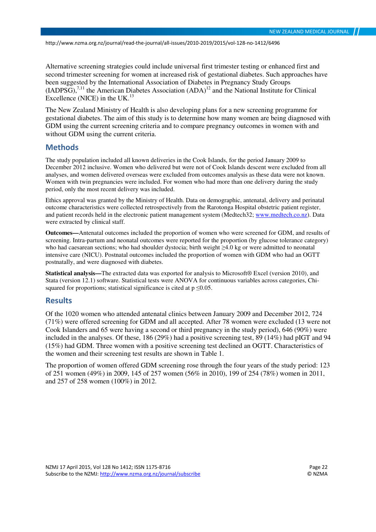Alternative screening strategies could include universal first trimester testing or enhanced first and second trimester screening for women at increased risk of gestational diabetes. Such approaches have been suggested by the International Association of Diabetes in Pregnancy Study Groups  $(IADPSG)$ ,<sup>7,11</sup> the American Diabetes Association  $(ADA)^{12}$  and the National Institute for Clinical Excellence (NICE) in the UK. $^{13}$ 

The New Zealand Ministry of Health is also developing plans for a new screening programme for gestational diabetes. The aim of this study is to determine how many women are being diagnosed with GDM using the current screening criteria and to compare pregnancy outcomes in women with and without GDM using the current criteria.

#### Methods

The study population included all known deliveries in the Cook Islands, for the period January 2009 to December 2012 inclusive. Women who delivered but were not of Cook Islands descent were excluded from all analyses, and women delivered overseas were excluded from outcomes analysis as these data were not known. Women with twin pregnancies were included. For women who had more than one delivery during the study period, only the most recent delivery was included.

Ethics approval was granted by the Ministry of Health. Data on demographic, antenatal, delivery and perinatal outcome characteristics were collected retrospectively from the Rarotonga Hospital obstetric patient register, and patient records held in the electronic patient management system (Medtech32; www.medtech.co.nz). Data were extracted by clinical staff.

**Outcomes—**Antenatal outcomes included the proportion of women who were screened for GDM, and results of screening. Intra-partum and neonatal outcomes were reported for the proportion (by glucose tolerance category) who had caesarean sections; who had shoulder dystocia; birth weight ≥4.0 kg or were admitted to neonatal intensive care (NICU). Postnatal outcomes included the proportion of women with GDM who had an OGTT postnatally, and were diagnosed with diabetes.

**Statistical analysis—**The extracted data was exported for analysis to Microsoft® Excel (version 2010), and Stata (version 12.1) software. Statistical tests were ANOVA for continuous variables across categories, Chisquared for proportions; statistical significance is cited at  $p \le 0.05$ .

#### Results

Of the 1020 women who attended antenatal clinics between January 2009 and December 2012, 724 (71%) were offered screening for GDM and all accepted. After 78 women were excluded (13 were not Cook Islanders and 65 were having a second or third pregnancy in the study period), 646 (90%) were included in the analyses. Of these, 186 (29%) had a positive screening test, 89 (14%) had pIGT and 94 (15%) had GDM. Three women with a positive screening test declined an OGTT. Characteristics of the women and their screening test results are shown in Table 1.

The proportion of women offered GDM screening rose through the four years of the study period: 123 of 251 women (49%) in 2009, 145 of 257 women (56% in 2010), 199 of 254 (78%) women in 2011, and 257 of 258 women (100%) in 2012.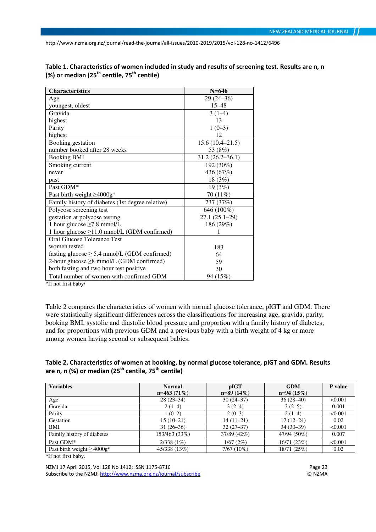| <b>Characteristics</b>                                         | $N = 646$           |
|----------------------------------------------------------------|---------------------|
| Age                                                            | $29(24-36)$         |
| youngest, oldest                                               | $15 - 48$           |
| Gravida                                                        | $3(1-4)$            |
| highest                                                        | 13                  |
| Parity                                                         | $1(0-3)$            |
| highest                                                        | 12                  |
| Booking gestation                                              | $15.6(10.4 - 21.5)$ |
| number booked after 28 weeks                                   | 53 (8%)             |
| <b>Booking BMI</b>                                             | $31.2(26.2 - 36.1)$ |
| Smoking current                                                | 192 (30%)           |
| never                                                          | 436 (67%)           |
| past                                                           | 18 (3%)             |
| Past GDM*                                                      | 19 (3%)             |
| Past birth weight $\geq 4000g^*$                               | 70 (11%)            |
| Family history of diabetes (1st degree relative)               | 237 (37%)           |
| Polycose screening test                                        | 646 (100%)          |
| gestation at polycose testing                                  | $27.1(25.1-29)$     |
| 1 hour glucose $\geq$ 7.8 mmol/L                               | 186 (29%)           |
| 1 hour glucose ≥11.0 mmol/L (GDM confirmed)                    |                     |
| <b>Oral Glucose Tolerance Test</b>                             |                     |
| women tested                                                   | 183                 |
| fasting glucose $\geq$ 5.4 mmol/L (GDM confirmed)              | 64                  |
| 2-hour glucose $\geq$ 8 mmol/L (GDM confirmed)                 | 59                  |
| both fasting and two hour test positive                        | 30                  |
| Total number of women with confirmed GDM<br><u>ልተሰ ሰጠ በ1 በ</u> | 94 (15%)            |

Table 1. Characteristics of women included in study and results of screening test. Results are n, n (%) or median (25<sup>th</sup> centile, 75<sup>th</sup> centile)

\*If not first baby/

Table 2 compares the characteristics of women with normal glucose tolerance, pIGT and GDM. There were statistically significant differences across the classifications for increasing age, gravida, parity, booking BMI, systolic and diastolic blood pressure and proportion with a family history of diabetes; and for proportions with previous GDM and a previous baby with a birth weight of 4 kg or more among women having second or subsequent babies.

#### Table 2. Characteristics of women at booking, by normal glucose tolerance, pIGT and GDM. Results are n, n (%) or median (25<sup>th</sup> centile, 75<sup>th</sup> centile)

| <b>Variables</b>                 | <b>Normal</b> | pIGT         | <b>GDM</b>  | P value |
|----------------------------------|---------------|--------------|-------------|---------|
|                                  | $n=463(71\%)$ | $n=89(14\%)$ | $n=94(15%)$ |         |
| Age                              | $28(23-34)$   | $30(24-37)$  | $36(28-40)$ | < 0.001 |
| Gravida                          | $2(1-4)$      | $3(2-4)$     | $3(2-5)$    | 0.001   |
| Parity                           | $1(0-2)$      | $2(0-3)$     | $2(1-4)$    | < 0.001 |
| Gestation                        | $15(10-21)$   | $14(11-21)$  | $17(12-24)$ | 0.02    |
| BMI                              | $31(26-36)$   | $32(27-37)$  | $34(30-39)$ | < 0.001 |
| Family history of diabetes       | 153/463 (33%) | 37/89 (42%)  | 47/94 (50%) | 0.007   |
| Past GDM*                        | $2/338(1\%)$  | 1/67(2%)     | 16/71(23%)  | < 0.001 |
| Past birth weight $\geq 4000g^*$ | 45/338 (13%)  | $7/67(10\%)$ | 18/71 (25%) | 0.02    |

\*If not first baby.

NZMJ 17 April 2015, Vol 128 No 1412; ISSN 1175-8716<br>Subscribe to the NZMJ: http://www.nzma.org.nz/journal/subscribe<br>© NZMA Subscribe to the NZMJ: http://www.nzma.org.nz/journal/subscribe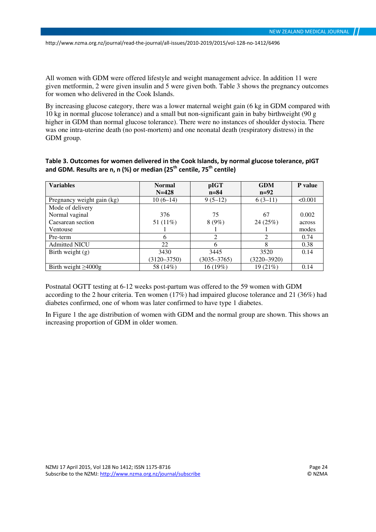All women with GDM were offered lifestyle and weight management advice. In addition 11 were given metformin, 2 were given insulin and 5 were given both. Table 3 shows the pregnancy outcomes for women who delivered in the Cook Islands.

By increasing glucose category, there was a lower maternal weight gain (6 kg in GDM compared with 10 kg in normal glucose tolerance) and a small but non-significant gain in baby birthweight (90 g higher in GDM than normal glucose tolerance). There were no instances of shoulder dystocia. There was one intra-uterine death (no post-mortem) and one neonatal death (respiratory distress) in the GDM group.

| <b>Variables</b>           | <b>Normal</b>   | pIGT            | <b>GDM</b>      | <b>P</b> value |
|----------------------------|-----------------|-----------------|-----------------|----------------|
|                            | $N = 428$       | $n = 84$        | $n=92$          |                |
| Pregnancy weight gain (kg) | $10(6-14)$      | $9(5-12)$       | $6(3-11)$       | < 0.001        |
| Mode of delivery           |                 |                 |                 |                |
| Normal vaginal             | 376             | 75              | 67              | 0.002          |
| Caesarean section          | 51 (11%)        | 8(9%)           | 24(25%)         | across         |
| Ventouse                   |                 |                 |                 | modes          |
| Pre-term                   | 6               | $\mathfrak{D}$  | 2               | 0.74           |
| <b>Admitted NICU</b>       | 22              | 6               | 8               | 0.38           |
| Birth weight $(g)$         | 3430            | 3445            | 3520            | 0.14           |
|                            | $(3120 - 3750)$ | $(3035 - 3765)$ | $(3220 - 3920)$ |                |
| Birth weight $\geq 4000$ g | 58 (14%)        | 16 (19%)        | 19 (21%)        | 0.14           |

Table 3. Outcomes for women delivered in the Cook Islands, by normal glucose tolerance, pIGT and GDM. Results are n, n (%) or median (25<sup>th</sup> centile, 75<sup>th</sup> centile)

Postnatal OGTT testing at 6-12 weeks post-partum was offered to the 59 women with GDM according to the 2 hour criteria. Ten women (17%) had impaired glucose tolerance and 21 (36%) had diabetes confirmed, one of whom was later confirmed to have type 1 diabetes.

In Figure 1 the age distribution of women with GDM and the normal group are shown. This shows an increasing proportion of GDM in older women.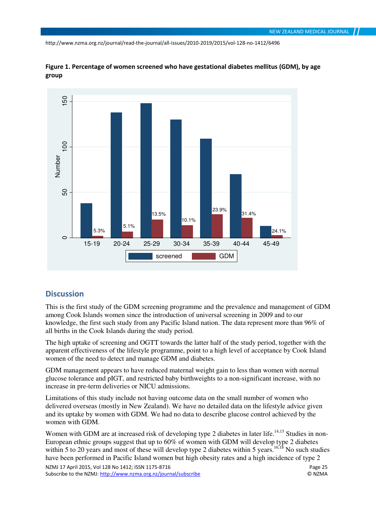



## **Discussion**

This is the first study of the GDM screening programme and the prevalence and management of GDM among Cook Islands women since the introduction of universal screening in 2009 and to our knowledge, the first such study from any Pacific Island nation. The data represent more than 96% of all births in the Cook Islands during the study period.

The high uptake of screening and OGTT towards the latter half of the study period, together with the apparent effectiveness of the lifestyle programme, point to a high level of acceptance by Cook Island women of the need to detect and manage GDM and diabetes.

GDM management appears to have reduced maternal weight gain to less than women with normal glucose tolerance and pIGT, and restricted baby birthweights to a non-significant increase, with no increase in pre-term deliveries or NICU admissions.

Limitations of this study include not having outcome data on the small number of women who delivered overseas (mostly in New Zealand). We have no detailed data on the lifestyle advice given and its uptake by women with GDM. We had no data to describe glucose control achieved by the women with GDM.

Women with GDM are at increased risk of developing type 2 diabetes in later life.<sup>14,15</sup> Studies in non-European ethnic groups suggest that up to 60% of women with GDM will develop type 2 diabetes within 5 to 20 years and most of these will develop type 2 diabetes within 5 years.<sup>16,18</sup> No such studies have been performed in Pacific Island women but high obesity rates and a high incidence of type 2

NZMJ 17 April 2015, Vol 128 No 1412; ISSN 1175-8716 Page 25 Subscribe to the NZMJ: http://www.nzma.org.nz/journal/subscribe © NZMA © NZMA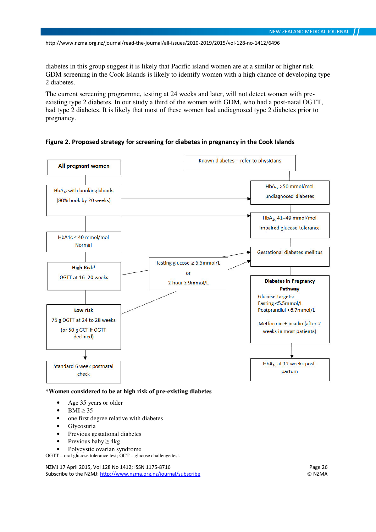diabetes in this group suggest it is likely that Pacific island women are at a similar or higher risk. GDM screening in the Cook Islands is likely to identify women with a high chance of developing type 2 diabetes.

The current screening programme, testing at 24 weeks and later, will not detect women with preexisting type 2 diabetes. In our study a third of the women with GDM, who had a post-natal OGTT, had type 2 diabetes. It is likely that most of these women had undiagnosed type 2 diabetes prior to pregnancy.

Figure 2. Proposed strategy for screening for diabetes in pregnancy in the Cook Islands



**\*Women considered to be at high risk of pre-existing diabetes** 

- Age 35 years or older
- $BMI \geq 35$
- one first degree relative with diabetes
- **Glycosuria**
- Previous gestational diabetes
- Previous baby  $> 4kg$
- Polycystic ovarian syndrome

OGTT – oral glucose tolerance test; GCT – glucose challenge test.

NZMJ 17 April 2015, Vol 128 No 1412; ISSN 1175-8716<br>Subscribe to the NZMJ: http://www.nzma.org.nz/journal/subscribe<br>© NZMA Subscribe to the NZMJ: http://www.nzma.org.nz/journal/subscribe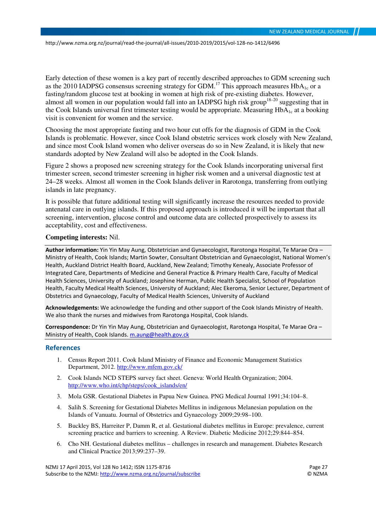Early detection of these women is a key part of recently described approaches to GDM screening such as the 2010 IADPSG consensus screening strategy for GDM.<sup>17</sup> This approach measures  $HbA_{1c}$  or a fasting/random glucose test at booking in women at high risk of pre-existing diabetes. However, almost all women in our population would fall into an IADPSG high risk group<sup>18–20</sup> suggesting that in the Cook Islands universal first trimester testing would be appropriate. Measuring  $HbA<sub>1c</sub>$  at a booking visit is convenient for women and the service.

Choosing the most appropriate fasting and two hour cut offs for the diagnosis of GDM in the Cook Islands is problematic. However, since Cook Island obstetric services work closely with New Zealand, and since most Cook Island women who deliver overseas do so in New Zealand, it is likely that new standards adopted by New Zealand will also be adopted in the Cook Islands.

Figure 2 shows a proposed new screening strategy for the Cook Islands incorporating universal first trimester screen, second trimester screening in higher risk women and a universal diagnostic test at 24–28 weeks. Almost all women in the Cook Islands deliver in Rarotonga, transferring from outlying islands in late pregnancy.

It is possible that future additional testing will significantly increase the resources needed to provide antenatal care in outlying islands. If this proposed approach is introduced it will be important that all screening, intervention, glucose control and outcome data are collected prospectively to assess its acceptability, cost and effectiveness.

#### **Competing interests:** Nil.

Author information: Yin Yin May Aung, Obstetrician and Gynaecologist, Rarotonga Hospital, Te Marae Ora – Ministry of Health, Cook Islands; Martin Sowter, Consultant Obstetrician and Gynaecologist, National Women's Health, Auckland District Health Board, Auckland, New Zealand; Timothy Kenealy, Associate Professor of Integrated Care, Departments of Medicine and General Practice & Primary Health Care, Faculty of Medical Health Sciences, University of Auckland; Josephine Herman, Public Health Specialist, School of Population Health, Faculty Medical Health Sciences, University of Auckland; Alec Ekeroma, Senior Lecturer, Department of Obstetrics and Gynaecology, Faculty of Medical Health Sciences, University of Auckland

Acknowledgements: We acknowledge the funding and other support of the Cook Islands Ministry of Health. We also thank the nurses and midwives from Rarotonga Hospital, Cook Islands.

Correspondence: Dr Yin Yin May Aung, Obstetrician and Gynaecologist, Rarotonga Hospital, Te Marae Ora – Ministry of Health, Cook Islands. m.aung@health.gov.ck

#### References

- 1. Census Report 2011. Cook Island Ministry of Finance and Economic Management Statistics Department, 2012. http://www.mfem.gov.ck/
- 2. Cook Islands NCD STEPS survey fact sheet. Geneva: World Health Organization; 2004. http://www.who.int/chp/steps/cook\_islands/en/
- 3. Mola GSR. Gestational Diabetes in Papua New Guinea. PNG Medical Journal 1991;34:104–8.
- 4. Salih S. Screening for Gestational Diabetes Mellitus in indigenous Melanesian population on the Islands of Vanuatu. Journal of Obstetrics and Gynaecology 2009;29:98–100.
- 5. Buckley BS, Harreiter P, Damm R, et al. Gestational diabetes mellitus in Europe: prevalence, current screening practice and barriers to screening. A Review. Diabetic Medicine 2012;29:844–854.
- 6. Cho NH. Gestational diabetes mellitus challenges in research and management. Diabetes Research and Clinical Practice 2013;99:237–39.

NZMJ 17 April 2015, Vol 128 No 1412; ISSN 1175-8716 Page 27 Subscribe to the NZMJ: http://www.nzma.org.nz/journal/subscribe © NZMA